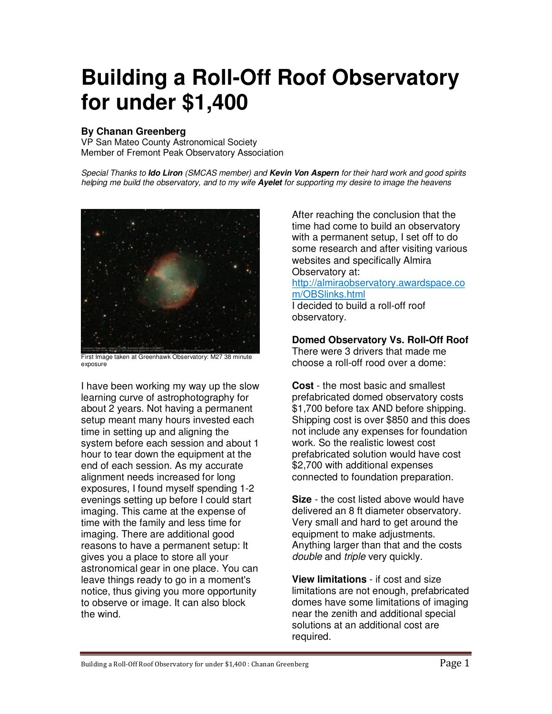# **Building a Roll-Off Roof Observatory for under \$1,400**

# **By Chanan Greenberg**

VP San Mateo County Astronomical Society Member of Fremont Peak Observatory Association

Special Thanks to **Ido Liron** (SMCAS member) and **Kevin Von Aspern** for their hard work and good spirits helping me build the observatory, and to my wife **Ayelet** for supporting my desire to image the heavens



First Image taken at Greenhawk Observatory: M27 38 minute exposure

I have been working my way up the slow learning curve of astrophotography for about 2 years. Not having a permanent setup meant many hours invested each time in setting up and aligning the system before each session and about 1 hour to tear down the equipment at the end of each session. As my accurate alignment needs increased for long exposures, I found myself spending 1-2 evenings setting up before I could start imaging. This came at the expense of time with the family and less time for imaging. There are additional good reasons to have a permanent setup: It gives you a place to store all your astronomical gear in one place. You can leave things ready to go in a moment's notice, thus giving you more opportunity to observe or image. It can also block the wind.

After reaching the conclusion that the time had come to build an observatory with a permanent setup, I set off to do some research and after visiting various websites and specifically Almira Observatory at: http://almiraobservatory.awardspace.co m/OBSlinks.html

I decided to build a roll-off roof observatory.

**Domed Observatory Vs. Roll-Off Roof** 

There were 3 drivers that made me choose a roll-off rood over a dome:

**Cost** - the most basic and smallest prefabricated domed observatory costs \$1,700 before tax AND before shipping. Shipping cost is over \$850 and this does not include any expenses for foundation work. So the realistic lowest cost prefabricated solution would have cost \$2,700 with additional expenses connected to foundation preparation.

**Size** - the cost listed above would have delivered an 8 ft diameter observatory. Very small and hard to get around the equipment to make adjustments. Anything larger than that and the costs double and triple very quickly.

**View limitations** - if cost and size limitations are not enough, prefabricated domes have some limitations of imaging near the zenith and additional special solutions at an additional cost are required.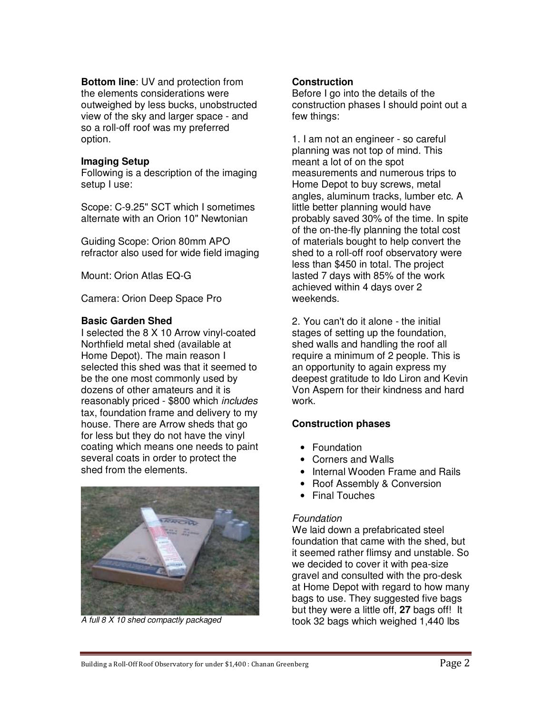**Bottom line**: UV and protection from the elements considerations were outweighed by less bucks, unobstructed view of the sky and larger space - and so a roll-off roof was my preferred option.

#### **Imaging Setup**

Following is a description of the imaging setup I use:

Scope: C-9.25" SCT which I sometimes alternate with an Orion 10" Newtonian

Guiding Scope: Orion 80mm APO refractor also used for wide field imaging

Mount: Orion Atlas EQ-G

Camera: Orion Deep Space Pro

#### **Basic Garden Shed**

I selected the 8 X 10 Arrow vinyl-coated Northfield metal shed (available at Home Depot). The main reason I selected this shed was that it seemed to be the one most commonly used by dozens of other amateurs and it is reasonably priced - \$800 which includes tax, foundation frame and delivery to my house. There are Arrow sheds that go for less but they do not have the vinyl coating which means one needs to paint several coats in order to protect the shed from the elements.



A full 8 X 10 shed compactly packaged

#### **Construction**

Before I go into the details of the construction phases I should point out a few things:

1. I am not an engineer - so careful planning was not top of mind. This meant a lot of on the spot measurements and numerous trips to Home Depot to buy screws, metal angles, aluminum tracks, lumber etc. A little better planning would have probably saved 30% of the time. In spite of the on-the-fly planning the total cost of materials bought to help convert the shed to a roll-off roof observatory were less than \$450 in total. The project lasted 7 days with 85% of the work achieved within 4 days over 2 weekends.

2. You can't do it alone - the initial stages of setting up the foundation, shed walls and handling the roof all require a minimum of 2 people. This is an opportunity to again express my deepest gratitude to Ido Liron and Kevin Von Aspern for their kindness and hard work.

# **Construction phases**

- Foundation
- Corners and Walls
- Internal Wooden Frame and Rails
- Roof Assembly & Conversion
- Final Touches

#### Foundation

We laid down a prefabricated steel foundation that came with the shed, but it seemed rather flimsy and unstable. So we decided to cover it with pea-size gravel and consulted with the pro-desk at Home Depot with regard to how many bags to use. They suggested five bags but they were a little off, **27** bags off! It took 32 bags which weighed 1,440 lbs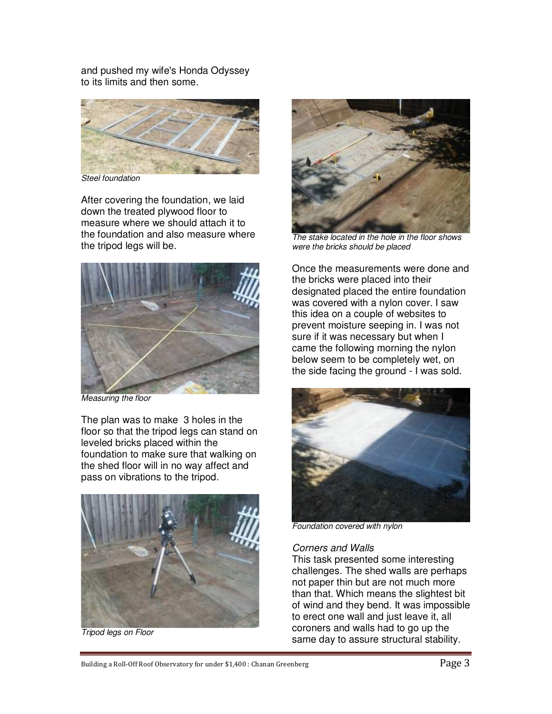and pushed my wife's Honda Odyssey to its limits and then some.



Steel foundation

After covering the foundation, we laid down the treated plywood floor to measure where we should attach it to the foundation and also measure where the tripod legs will be.



Measuring the floor

The plan was to make 3 holes in the floor so that the tripod legs can stand on leveled bricks placed within the foundation to make sure that walking on the shed floor will in no way affect and pass on vibrations to the tripod.



Tripod legs on Floor



The stake located in the hole in the floor shows were the bricks should be placed

Once the measurements were done and the bricks were placed into their designated placed the entire foundation was covered with a nylon cover. I saw this idea on a couple of websites to prevent moisture seeping in. I was not sure if it was necessary but when I came the following morning the nylon below seem to be completely wet, on the side facing the ground - I was sold.



Foundation covered with nylon

# Corners and Walls

This task presented some interesting challenges. The shed walls are perhaps not paper thin but are not much more than that. Which means the slightest bit of wind and they bend. It was impossible to erect one wall and just leave it, all coroners and walls had to go up the same day to assure structural stability.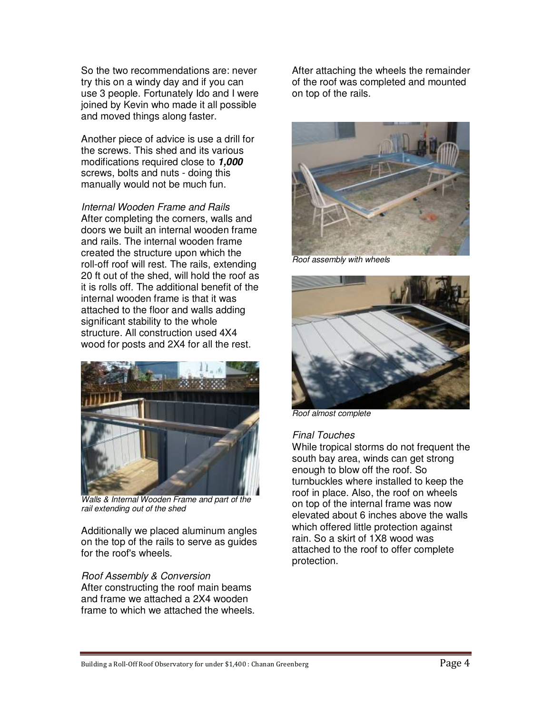So the two recommendations are: never try this on a windy day and if you can use 3 people. Fortunately Ido and I were joined by Kevin who made it all possible and moved things along faster.

Another piece of advice is use a drill for the screws. This shed and its various modifications required close to **1,000** screws, bolts and nuts - doing this manually would not be much fun.

Internal Wooden Frame and Rails After completing the corners, walls and doors we built an internal wooden frame and rails. The internal wooden frame created the structure upon which the roll-off roof will rest. The rails, extending 20 ft out of the shed, will hold the roof as it is rolls off. The additional benefit of the internal wooden frame is that it was attached to the floor and walls adding significant stability to the whole structure. All construction used 4X4 wood for posts and 2X4 for all the rest.



Walls & Internal Wooden Frame and part of the rail extending out of the shed

Additionally we placed aluminum angles on the top of the rails to serve as guides for the roof's wheels.

# Roof Assembly & Conversion

After constructing the roof main beams and frame we attached a 2X4 wooden frame to which we attached the wheels.

After attaching the wheels the remainder of the roof was completed and mounted on top of the rails.



Roof assembly with wheels



Roof almost complete

# Final Touches

While tropical storms do not frequent the south bay area, winds can get strong enough to blow off the roof. So turnbuckles where installed to keep the roof in place. Also, the roof on wheels on top of the internal frame was now elevated about 6 inches above the walls which offered little protection against rain. So a skirt of 1X8 wood was attached to the roof to offer complete protection.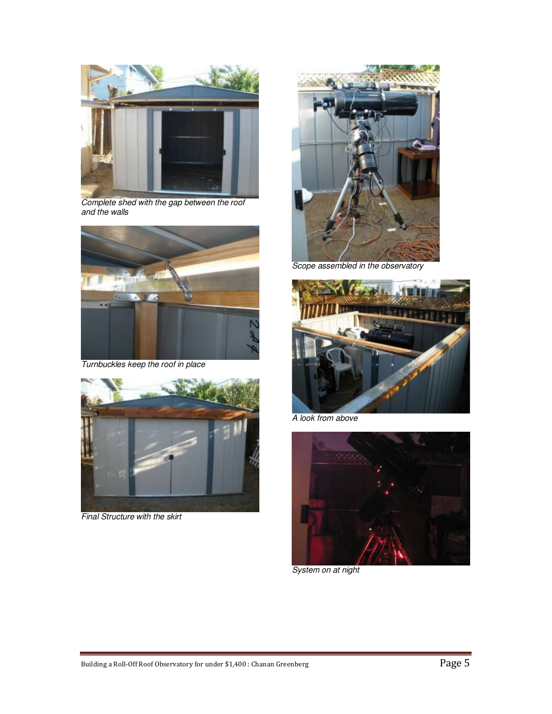

Complete shed with the gap between the roof and the walls



Turnbuckles keep the roof in place



Final Structure with the skirt



Scope assembled in the observatory



A look from above



System on at night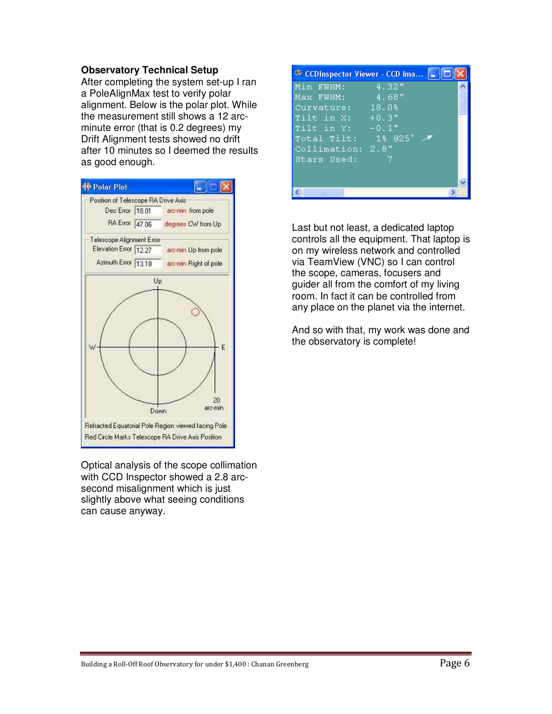#### **Observatory Technical Setup**

After completing the system set-up I ran a PoleAlignMax test to verify polar alignment. Below is the polar plot. While the measurement still shows a 12 arcminute error (that is 0.2 degrees) my Drift Alignment tests showed no drift after 10 minutes so I deemed the results as good enough.



Optical analysis of the scope collimation with CCD Inspector showed a 2.8 arcsecond misalignment which is just slightly above what seeing conditions can cause anyway.

|                      | © CCDInspector Viewer - CCD Ima   _   □ |  |
|----------------------|-----------------------------------------|--|
| Min FWHM:            | 4.32''                                  |  |
| Max FMHM:            | . 4.68″                                 |  |
| Curvature: 18.0%     |                                         |  |
| Tilt in $X:$ $+0.3"$ |                                         |  |
| Tilt in $Y:$ $-0.1"$ |                                         |  |
| Total Tilt: 1% 025°  |                                         |  |
| Collimation: 2.8"    |                                         |  |
| Stars Used:          | 7                                       |  |
|                      |                                         |  |
|                      |                                         |  |
| ШI                   |                                         |  |

Last but not least, a dedicated laptop controls all the equipment. That laptop is on my wireless network and controlled via TeamView (VNC) so I can control the scope, cameras, focusers and guider all from the comfort of my living room. In fact it can be controlled from any place on the planet via the internet.

And so with that, my work was done and the observatory is complete!